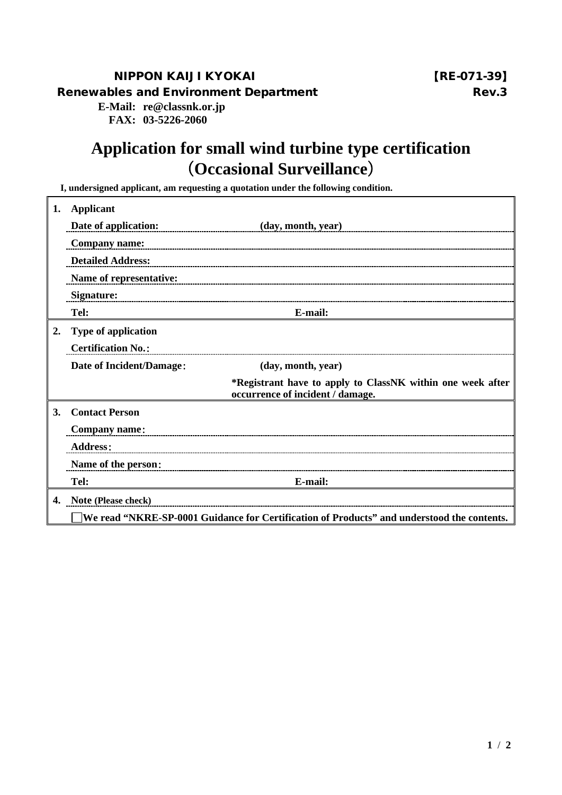## NIPPON KAIJI KYOKAI 【RE-071-39】 Renewables and Environment Department Number 2004 and Rev.3

**E-Mail: re@classnk.or.jp FAX: 03-5226-2060**

## **Application for small wind turbine type certification** (**Occasional Surveillance**)

**I, undersigned applicant, am requesting a quotation under the following condition.**

| 1. | <b>Applicant</b>                                                                           |                                                                                                |  |  |  |
|----|--------------------------------------------------------------------------------------------|------------------------------------------------------------------------------------------------|--|--|--|
|    | Date of application:                                                                       | (day, month, year)                                                                             |  |  |  |
|    | <b>Company name:</b>                                                                       |                                                                                                |  |  |  |
|    | <b>Detailed Address:</b>                                                                   |                                                                                                |  |  |  |
|    | Name of representative:                                                                    |                                                                                                |  |  |  |
|    | <b>Signature:</b>                                                                          |                                                                                                |  |  |  |
|    | Tel:                                                                                       | E-mail:                                                                                        |  |  |  |
| 2. | <b>Type of application</b>                                                                 |                                                                                                |  |  |  |
|    | <b>Certification No.:</b>                                                                  |                                                                                                |  |  |  |
|    | Date of Incident/Damage:                                                                   | (day, month, year)                                                                             |  |  |  |
|    |                                                                                            | *Registrant have to apply to ClassNK within one week after<br>occurrence of incident / damage. |  |  |  |
| 3. | <b>Contact Person</b>                                                                      |                                                                                                |  |  |  |
|    | <b>Company name:</b>                                                                       |                                                                                                |  |  |  |
|    | <b>Address:</b>                                                                            |                                                                                                |  |  |  |
|    | Name of the person:                                                                        |                                                                                                |  |  |  |
|    | Tel:                                                                                       | E-mail:                                                                                        |  |  |  |
| 4. | Note (Please check)                                                                        |                                                                                                |  |  |  |
|    | We read "NKRE-SP-0001 Guidance for Certification of Products" and understood the contents. |                                                                                                |  |  |  |